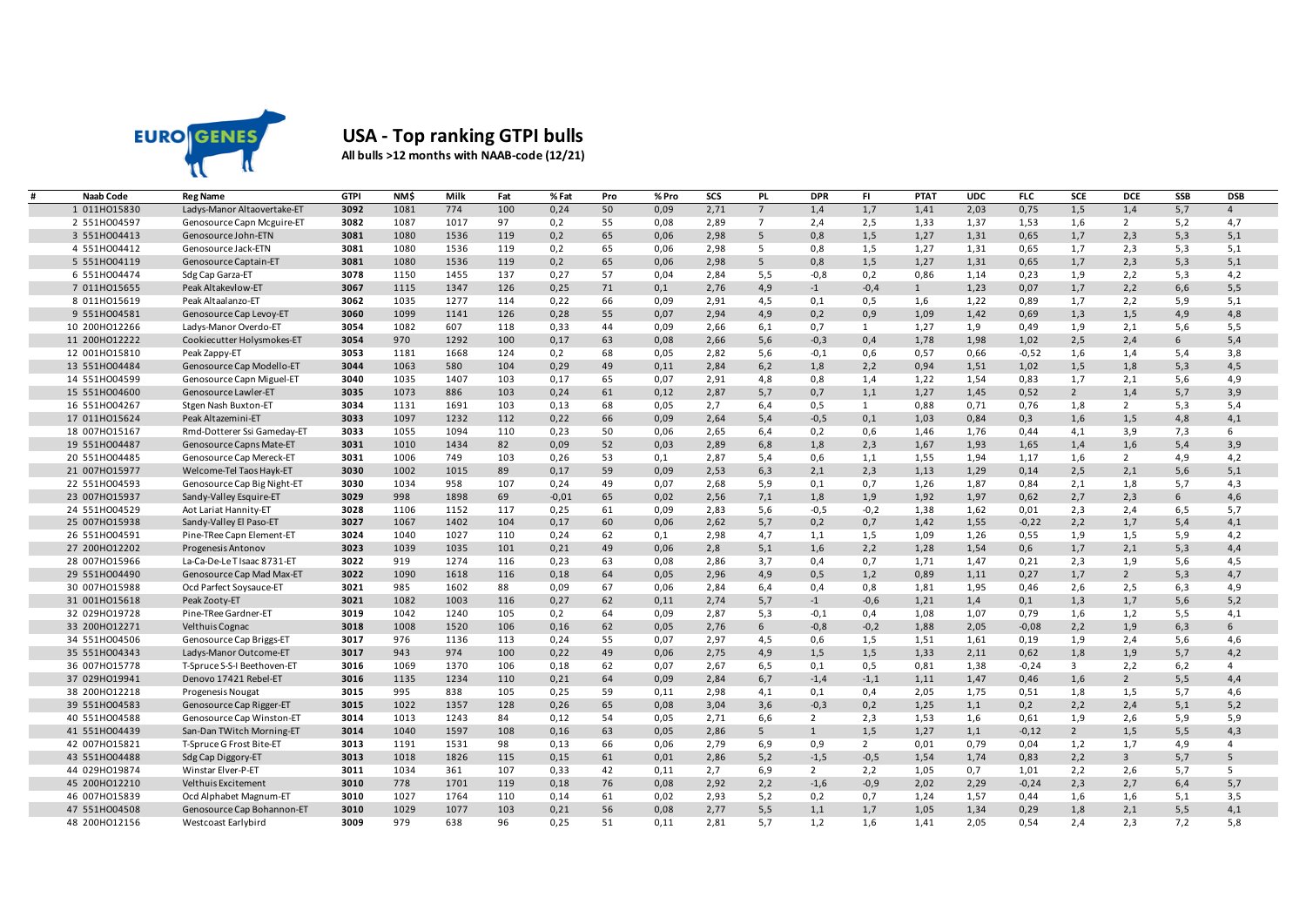

## **USA - Top ranking GTPI bulls All bulls >12 months with NAAB-code (12/21)**

| <b>Naab Code</b>               | <b>Reg Name</b>                       | <b>GTPI</b>  | NM\$        | Milk         | Fat       | % Fat        | Pro      | % Pro        | SCS          | <b>PL</b>      | <b>DPR</b>     | FI.            | <b>PTAT</b>  | <b>UDC</b>   | FLC          | SCE            | <b>DCE</b>         | SSB             | <b>DSB</b>     |
|--------------------------------|---------------------------------------|--------------|-------------|--------------|-----------|--------------|----------|--------------|--------------|----------------|----------------|----------------|--------------|--------------|--------------|----------------|--------------------|-----------------|----------------|
| 1 011H015830                   | Ladys-Manor Altaovertake-ET           | 3092         | 1081        | 774          | 100       | 0,24         | 50       | 0,09         | 2,71         | $\overline{7}$ | 1,4            | 1,7            | 1,41         | 2,03         | 0,75         | 1,5            | 1,4                | 5,7             | $\overline{4}$ |
| 2 551H004597                   | Genosource Capn Mcguire-ET            | 3082         | 1087        | 1017         | 97        | 0,2          | 55       | 0,08         | 2,89         | $\overline{7}$ | 2,4            | 2,5            | 1,33         | 1,37         | 1,53         | 1,6            | $\overline{2}$     | 5,2             | 4,7            |
| 3 551HO04413                   | Genosource John-ETN                   | 3081         | 1080        | 1536         | 119       | 0,2          | 65       | 0,06         | 2,98         | 5              | 0,8            | 1,5            | 1,27         | 1,31         | 0,65         | 1,7            | 2,3                | 5,3             | 5,1            |
| 4 551H004412                   | Genosource Jack-ETN                   | 3081         | 1080        | 1536         | 119       | 0,2          | 65       | 0.06         | 2.98         | 5              | 0,8            | 1,5            | 1,27         | 1,31         | 0,65         | 1.7            | 2,3                | 5,3             | 5,1            |
| 5 551H004119                   | Genosource Captain-ET                 | 3081         | 1080        | 1536         | 119       | 0,2          | 65       | 0,06         | 2,98         | 5              | 0,8            | 1,5            | 1,27         | 1,31         | 0,65         | 1,7            | 2,3                | 5,3             | 5,1            |
| 6 551H004474                   | Sdg Cap Garza-ET                      | 3078         | 1150        | 1455         | 137       | 0,27         | 57       | 0,04         | 2,84         | 5,5            | $-0,8$         | 0,2            | 0,86         | 1,14         | 0,23         | 1,9            | 2,2                | 5,3             | 4,2            |
| 7 011H015655                   | Peak Altakevlow-ET                    | 3067         | 1115        | 1347         | 126       | 0,25         | 71       | 0,1          | 2,76         | 4,9            | $-1$           | $-0,4$         | $\mathbf{1}$ | 1,23         | 0,07         | 1,7            | 2,2                | 6, 6            | 5,5            |
| 8 011H015619                   | Peak Altaalanzo-ET                    | 3062         | 1035        | 1277         | 114       | 0,22         | 66       | 0,09         | 2,91         | 4,5            | 0,1            | 0,5            | 1,6          | 1,22         | 0,89         | 1,7            | 2,2                | 5,9             | 5,1            |
| 9 551HO04581                   | Genosource Cap Levoy-ET               | 3060         | 1099        | 1141         | 126       | 0,28         | 55       | 0,07         | 2,94         | 4,9            | 0,2            | 0,9            | 1,09         | 1,42         | 0,69         | 1,3            | 1,5                | 4,9             | 4,8            |
| 10 200HO12266                  | Ladys-Manor Overdo-ET                 | 3054         | 1082        | 607          | 118       | 0,33         | 44       | 0,09         | 2,66         | 6,1            | 0,7            | 1              | 1,27         | 1,9          | 0,49         | 1,9            | 2,1                | 5,6             | 5,5            |
| 11 200HO12222                  | Cookiecutter Holysmokes-ET            | 3054         | 970         | 1292         | 100       | 0,17         | 63       | 0,08         | 2,66         | 5,6            | $-0,3$         | 0,4            | 1,78         | 1,98         | 1,02         | 2,5            | 2,4                | $6\overline{6}$ | 5,4            |
| 12 001H015810                  | Peak Zappy-ET                         | 3053         | 1181        | 1668         | 124       | 0,2          | 68       | 0,05         | 2,82         | 5,6            | $-0,1$         | 0,6            | 0,57         | 0,66         | $-0,52$      | 1,6            | 1,4                | 5,4             | 3,8            |
| 13 551H004484                  | Genosource Cap Modello-ET             | 3044         | 1063        | 580          | 104       | 0,29         | 49       | 0,11         | 2,84         | 6,2            | 1,8            | 2,2            | 0,94         | 1,51         | 1,02         | 1,5            | 1,8                | 5,3             | 4,5            |
| 14 551H004599                  | Genosource Capn Miguel-ET             | 3040         | 1035        | 1407         | 103       | 0,17         | 65       | 0,07         | 2,91         | 4,8            | 0,8            | 1,4            | 1,22         | 1,54         | 0,83         | 1,7            | 2,1                | 5,6             | 4,9            |
| 15 551H004600                  | Genosource Lawler-ET                  | 3035         | 1073        | 886          | 103       | 0,24         | 61       | 0,12         | 2,87         | 5,7            | 0,7            | 1,1            | 1,27         | 1,45         | 0,52         | $\overline{2}$ | 1,4                | 5,7             | 3,9            |
| 16 551H004267                  | Stgen Nash Buxton-ET                  | 3034         | 1131        | 1691         | 103       | 0,13         | 68       | 0,05         | 2,7          | 6,4            | 0,5            | 1              | 0,88         | 0,71         | 0,76         | 1,8            | $\overline{2}$     | 5,3             | 5,4            |
| 17 011H015624                  | Peak Altazemini-ET                    | 3033         | 1097        | 1232         | 112       | 0,22         | 66       | 0,09         | 2,64         | 5,4            | $-0,5$         | 0,1            | 1,03         | 0,84         | 0,3          | 1,6            | 1,5                | 4,8             | 4,1            |
| 18 007H015167                  | Rmd-Dotterer Ssi Gameday-ET           | 3033         | 1055        | 1094         | 110       | 0,23         | 50       | 0,06         | 2,65         | 6,4            | 0,2            | 0,6            | 1,46         | 1,76         | 0,44         | 4,1            | 3,9                | 7,3             | 6              |
| 19 551H004487                  | Genosource Capns Mate-ET              | 3031         | 1010        | 1434         | 82        | 0,09         | 52       | 0,03         | 2,89         | 6,8            | 1,8            | 2,3            | 1,67         | 1,93         | 1,65         | 1,4            | 1,6                | 5,4             | 3,9            |
| 20 551H004485                  | Genosource Cap Mereck-ET              | 3031         | 1006        | 749          | 103       | 0,26         | 53       | 0,1          | 2,87         | 5,4            | 0,6            | 1,1            | 1,55         | 1,94         | 1,17         | 1,6            | $\overline{2}$     | 4,9             | 4,2            |
| 21 007H015977                  | Welcome-Tel Taos Hayk-ET              | 3030         | 1002        | 1015         | 89        | 0,17         | 59       | 0,09         | 2,53         | 6,3            | 2,1            | 2,3            | 1,13         | 1,29         | 0,14         | 2,5            | 2,1                | 5,6             | 5,1            |
| 22 551H004593                  | Genosource Cap Big Night-ET           | 3030         | 1034        | 958          | 107       | 0,24         | 49       | 0,07         | 2,68         | 5,9            | 0,1            | 0,7            | 1,26         | 1,87         | 0,84         | 2,1            | 1,8                | 5,7             | 4,3            |
| 23 007HO15937                  | Sandy-Valley Esquire-ET               | 3029         | 998         | 1898         | 69        | $-0,01$      | 65       | 0,02         | 2,56         | 7,1            | 1,8            | 1,9            | 1,92         | 1,97         | 0,62         | 2,7            | 2,3                | 6               | 4,6            |
| 24 551H004529                  | Aot Lariat Hannity-ET                 | 3028         | 1106        | 1152         | 117       | 0,25         | 61       | 0,09         | 2,83         | 5,6            | $-0,5$         | $-0,2$         | 1,38         | 1,62         | 0,01         | 2,3            | 2,4                | 6,5             | 5,7            |
| 25 007H015938                  | Sandy-Valley El Paso-ET               | 3027         | 1067        | 1402         | 104       | 0,17         | 60       | 0,06         | 2,62         | 5,7            | 0,2            | 0,7            | 1,42         | 1,55         | $-0,22$      | 2,2            | 1,7                | 5,4             | 4,1            |
| 26 551H004591                  | Pine-TRee Capn Element-ET             | 3024         | 1040        | 1027         | 110       | 0,24         | 62       | 0,1          | 2,98         | 4,7            | 1,1            | 1,5            | 1,09         | 1,26         | 0,55         | 1,9            | 1,5                | 5,9             | 4,2            |
| 27 200HO12202                  | Progenesis Antonov                    | 3023         | 1039        | 1035         | 101       | 0,21         | 49       | 0,06         | 2,8          | 5,1            | 1,6            | 2,2            | 1,28         | 1,54         | 0,6          | 1,7            | 2,1                | 5,3             | 4,4            |
| 28 007H015966                  | La-Ca-De-Le T Isaac 8731-ET           | 3022         | 919         | 1274         | 116       | 0,23         | 63       | 0,08         | 2,86         | 3,7            | 0,4            | 0,7            | 1,71         | 1,47         | 0,21         | 2,3            | 1,9                | 5,6             | 4,5            |
| 29 551HO04490<br>30 007H015988 | Genosource Cap Mad Max-ET             | 3022<br>3021 | 1090<br>985 | 1618<br>1602 | 116<br>88 | 0,18<br>0,09 | 64<br>67 | 0,05         | 2,96<br>2,84 | 4,9<br>6,4     | 0,5            | 1,2<br>0,8     | 0,89<br>1,81 | 1,11<br>1,95 | 0,27<br>0,46 | 1,7            | $2^{\circ}$<br>2,5 | 5,3             | 4,7<br>4,9     |
| 31 001H015618                  | Ocd Parfect Soysauce-ET               | 3021         | 1082        | 1003         | 116       | 0,27         | 62       | 0,06<br>0,11 | 2,74         | 5,7            | 0,4            | $-0,6$         | 1,21         | 1,4          | 0,1          | 2,6<br>1,3     | 1,7                | 6,3<br>5,6      | 5,2            |
| 32 029H019728                  | Peak Zooty-ET<br>Pine-TRee Gardner-ET | 3019         | 1042        | 1240         | 105       | 0,2          | 64       | 0,09         | 2,87         | 5,3            | $-1$<br>$-0,1$ | 0,4            | 1,08         | 1,07         | 0,79         | 1,6            | 1,2                | 5,5             | 4,1            |
| 33 200HO12271                  | <b>Velthuis Cognac</b>                | 3018         | 1008        | 1520         | 106       | 0,16         | 62       | 0,05         | 2,76         | 6              | $-0,8$         | $-0,2$         | 1,88         | 2,05         | $-0,08$      | 2,2            | 1,9                | 6,3             | 6              |
| 34 551H004506                  | Genosource Cap Briggs-ET              | 3017         | 976         | 1136         | 113       | 0,24         | 55       | 0,07         | 2,97         | 4,5            | 0,6            | 1,5            | 1,51         | 1,61         | 0,19         | 1,9            | 2,4                | 5,6             | 4,6            |
| 35 551HO04343                  | Ladys-Manor Outcome-ET                | 3017         | 943         | 974          | 100       | 0,22         | 49       | 0,06         | 2,75         | 4,9            | 1,5            | 1,5            | 1,33         | 2,11         | 0,62         | 1,8            | 1,9                | 5,7             | 4,2            |
| 36 007HO15778                  | T-Spruce S-S-I Beethoven-ET           | 3016         | 1069        | 1370         | 106       | 0.18         | 62       | 0.07         | 2.67         | 6,5            | 0,1            | 0,5            | 0,81         | 1,38         | $-0,24$      | $\overline{3}$ | 2,2                | 6,2             | $\overline{4}$ |
| 37 029HO19941                  | Denovo 17421 Rebel-ET                 | 3016         | 1135        | 1234         | 110       | 0,21         | 64       | 0,09         | 2,84         | 6,7            | $-1,4$         | $-1,1$         | 1,11         | 1,47         | 0,46         | 1,6            | $2^{\circ}$        | 5,5             | 4,4            |
| 38 200HO12218                  | Progenesis Nougat                     | 3015         | 995         | 838          | 105       | 0,25         | 59       | 0,11         | 2,98         | 4,1            | 0,1            | 0,4            | 2,05         | 1,75         | 0,51         | 1,8            | 1,5                | 5,7             | 4,6            |
| 39 551HO04583                  | Genosource Cap Rigger-ET              | 3015         | 1022        | 1357         | 128       | 0,26         | 65       | 0,08         | 3,04         | 3,6            | $-0,3$         | 0,2            | 1,25         | 1,1          | 0,2          | 2,2            | 2,4                | 5,1             | 5,2            |
| 40 551H004588                  | Genosource Cap Winston-ET             | 3014         | 1013        | 1243         | 84        | 0,12         | 54       | 0,05         | 2,71         | 6,6            | $\overline{2}$ | 2,3            | 1,53         | 1,6          | 0,61         | 1,9            | 2,6                | 5,9             | 5,9            |
| 41 551H004439                  | San-Dan TWitch Morning-ET             | 3014         | 1040        | 1597         | 108       | 0,16         | 63       | 0,05         | 2,86         | 5              | $\mathbf{1}$   | 1,5            | 1,27         | 1,1          | $-0,12$      | $\overline{2}$ | 1,5                | 5,5             | 4,3            |
| 42 007H015821                  | T-Spruce G Frost Bite-ET              | 3013         | 1191        | 1531         | 98        | 0,13         | 66       | 0,06         | 2,79         | 6,9            | 0,9            | $\overline{2}$ | 0,01         | 0,79         | 0,04         | 1,2            | 1,7                | 4,9             | $\overline{4}$ |
| 43 551H004488                  | Sdg Cap Diggory-ET                    | 3013         | 1018        | 1826         | 115       | 0,15         | 61       | 0,01         | 2,86         | 5,2            | $-1,5$         | $-0,5$         | 1,54         | 1,74         | 0,83         | 2,2            | $\overline{3}$     | 5,7             | 5              |
| 44 029HO19874                  | Winstar Elver-P-ET                    | 3011         | 1034        | 361          | 107       | 0,33         | 42       | 0,11         | 2,7          | 6,9            | 2              | 2,2            | 1,05         | 0,7          | 1,01         | 2,2            | 2,6                | 5,7             | 5              |
| 45 200HO12210                  | Velthuis Excitement                   | 3010         | 778         | 1701         | 119       | 0,18         | 76       | 0,08         | 2,92         | 2,2            | $-1,6$         | $-0,9$         | 2,02         | 2,29         | $-0,24$      | 2,3            | 2,7                | 6,4             | 5,7            |
| 46 007H015839                  | Ocd Alphabet Magnum-ET                | 3010         | 1027        | 1764         | 110       | 0,14         | 61       | 0,02         | 2,93         | 5,2            | 0,2            | 0,7            | 1,24         | 1,57         | 0,44         | 1,6            | 1,6                | 5,1             | 3,5            |
| 47 551H004508                  | Genosource Cap Bohannon-ET            | 3010         | 1029        | 1077         | 103       | 0,21         | 56       | 0,08         | 2,77         | 5,5            | 1,1            | 1,7            | 1,05         | 1,34         | 0,29         | 1,8            | 2,1                | 5,5             | 4,1            |
| 48 200HO12156                  | Westcoast Earlybird                   | 3009         | 979         | 638          | 96        | 0.25         | 51       | 0.11         | 2,81         | 5.7            | 1,2            | 1.6            | 1,41         | 2,05         | 0.54         | 2,4            | 2.3                | 7.2             | 5,8            |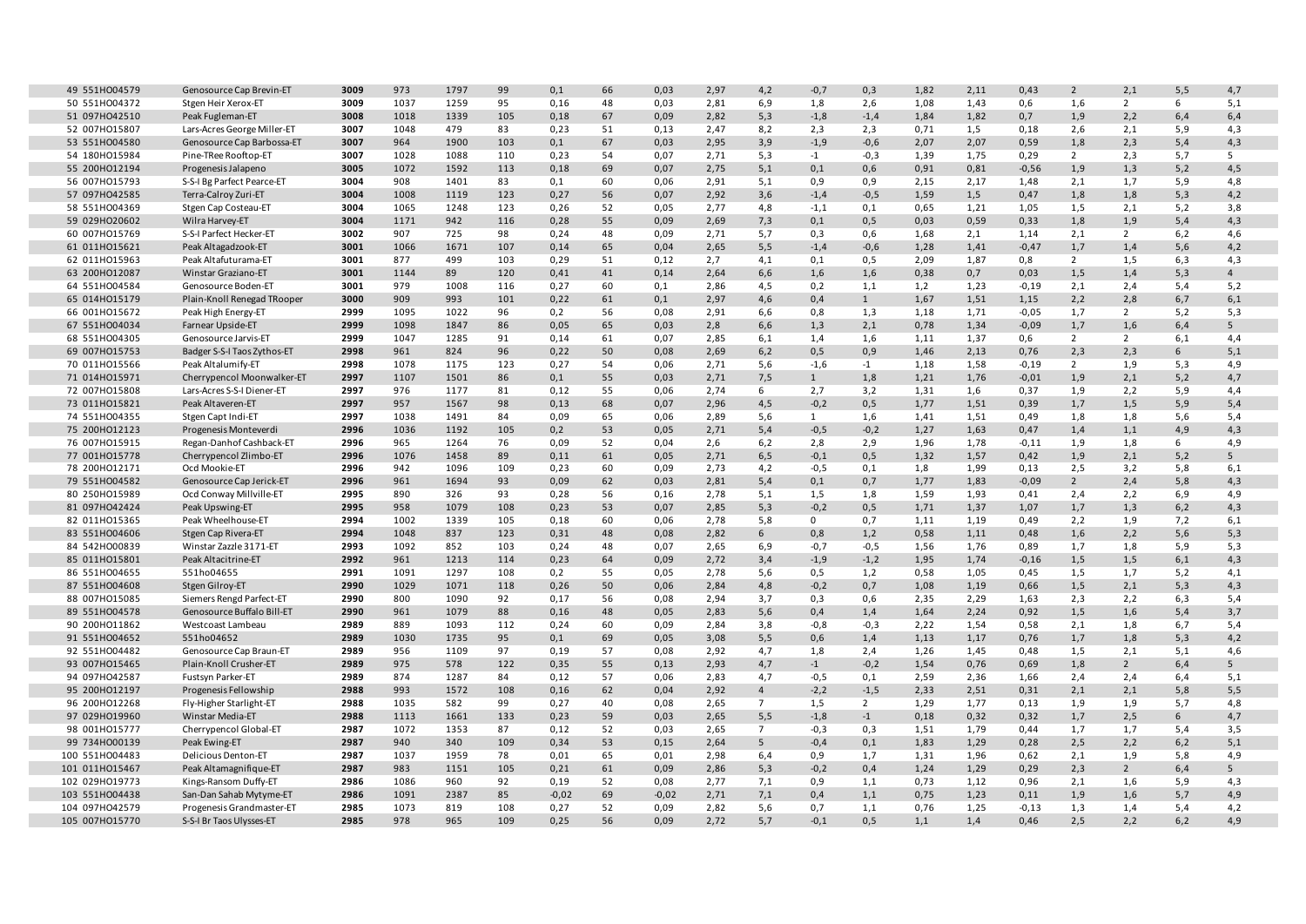| 49 551H004579                  | Genosource Cap Brevin-ET                | 3009         | 973         | 1797         | 99        | 0,1          | 66       | 0,03         | 2,97         | 4,2            | $-0,7$           | 0,3            | 1,82        | 2,11         | 0,43            | $\overline{2}$ | 2,1            | 5,5        | 4,7                   |
|--------------------------------|-----------------------------------------|--------------|-------------|--------------|-----------|--------------|----------|--------------|--------------|----------------|------------------|----------------|-------------|--------------|-----------------|----------------|----------------|------------|-----------------------|
| 50 551H004372                  | Stgen Heir Xerox-ET                     | 3009         | 1037        | 1259         | 95        | 0.16         | 48       | 0,03         | 2,81         | 6,9            | 1,8              | 2,6            | 1,08        | 1,43         | 0,6             | 1,6            | $\overline{2}$ | 6          | 5,1                   |
| 51 097H042510                  | Peak Fugleman-ET                        | 3008         | 1018        | 1339         | 105       | 0,18         | 67       | 0,09         | 2,82         | 5,3            | $-1,8$           | $-1,4$         | 1,84        | 1,82         | 0,7             | 1,9            | 2,2            | 6,4        | 6,4                   |
| 52 007H015807                  | Lars-Acres George Miller-ET             | 3007         | 1048        | 479          | 83        | 0,23         | 51       | 0,13         | 2,47         | 8,2            | 2,3              | 2,3            | 0,71        | 1,5          | 0,18            | 2,6            | 2,1            | 5,9        | 4,3                   |
| 53 551H004580                  | Genosource Cap Barbossa-ET              | 3007         | 964         | 1900         | 103       | 0,1          | 67       | 0,03         | 2,95         | 3,9            | $-1,9$           | $-0,6$         | 2,07        | 2,07         | 0,59            | 1,8            | 2,3            | 5,4        | 4,3                   |
| 54 180HO15984                  | Pine-TRee Rooftop-ET                    | 3007         | 1028        | 1088         | 110       | 0,23         | 54       | 0,07         | 2,71         | 5,3            | $-1$             | $-0,3$         | 1,39        | 1,75         | 0,29            | $\overline{2}$ | 2,3            | 5,7        | 5                     |
| 55 200HO12194                  | Progenesis Jalapeno                     | 3005         | 1072        | 1592         | 113       | 0,18         | 69       | 0,07         | 2,75         | 5,1            | 0,1              | 0,6            | 0,91        | 0,81         | $-0,56$         | 1,9            | 1,3            | 5,2        | 4,5                   |
| 56 007H015793                  | S-S-I Bg Parfect Pearce-ET              | 3004         | 908         | 1401         | 83        | 0,1          | 60       | 0,06         | 2,91         | 5,1            | 0,9              | 0,9            | 2,15        | 2,17         | 1,48            | 2,1            | 1,7            | 5,9        | 4,8                   |
| 57 097H042585                  | Terra-Calroy Zuri-ET                    | 3004         | 1008        | 1119         | 123       | 0,27         | 56       | 0,07         | 2,92         | 3,6            | $-1,4$           | $-0,5$         | 1,59        | 1,5          | 0,47            | 1,8            | 1,8            | 5,3        | 4,2                   |
| 58 551H004369                  | Stgen Cap Costeau-ET                    | 3004         | 1065        | 1248         | 123       | 0,26         | 52       | 0,05         | 2,77         | 4,8            | $-1,1$           | 0,1            | 0,65        | 1,21         | 1,05            | 1,5            | 2,1            | 5,2        | 3,8                   |
| 59 029HO20602                  | Wilra Harvey-ET                         | 3004         | 1171        | 942          | 116       | 0,28         | 55       | 0,09         | 2,69         | 7,3            | 0,1              | 0,5            | 0,03        | 0,59         | 0,33            | 1,8            | 1,9            | 5,4        | 4,3                   |
| 60 007HO15769                  | S-S-I Parfect Hecker-ET                 | 3002         | 907         | 725          | 98        | 0,24         | 48       | 0,09         | 2,71         | 5,7            | 0,3              | 0,6            | 1,68        | 2,1          | 1,14            | 2,1            | $\overline{2}$ | 6,2        | 4,6                   |
| 61 011H015621                  | Peak Altagadzook-ET                     | 3001         | 1066        | 1671         | 107       | 0,14         | 65       | 0,04         | 2,65         | 5,5            | $-1,4$           | $-0,6$         | 1,28        | 1,41         | $-0,47$         | 1,7            | 1,4            | 5,6        | 4,2                   |
| 62 011H015963                  | Peak Altafuturama-ET                    | 3001         | 877         | 499          | 103       | 0,29         | 51       | 0,12         | 2,7          | 4,1            | 0,1              | 0,5            | 2,09        | 1,87         | 0,8             | 2              | 1,5            | 6,3        | 4,3                   |
| 63 200HO12087                  | Winstar Graziano-ET                     | 3001         | 1144        | 89           | 120       | 0,41         | 41       | 0,14         | 2,64         | 6,6            | 1,6              | 1,6            | 0,38        | 0,7          | 0,03            | 1,5            | 1,4            | 5,3        | $\overline{4}$        |
| 64 551H004584                  | Genosource Boden-ET                     | 3001         | 979         | 1008         | 116       | 0,27         | 60       | 0,1          | 2,86         | 4,5            | 0,2              | 1,1            | 1,2         | 1,23         | $-0,19$         | 2,1            | 2,4            | 5,4        | 5,2                   |
| 65 014H015179                  | Plain-Knoll Renegad TRooper             | 3000         | 909         | 993          | 101       | 0,22         | 61       | 0,1          | 2,97         | 4,6            | 0,4              | 1              | 1,67        | 1,51         | 1,15            | 2,2            | 2,8            | 6,7        | 6,1                   |
| 66 001H015672                  | Peak High Energy-ET                     | 2999         | 1095        | 1022         | 96        | 0,2          | 56       | 0,08         | 2,91         | 6,6            | 0,8              | 1,3            | 1,18        | 1,71         | $-0,05$         | 1,7            | $\overline{2}$ | 5,2        | 5,3                   |
| 67 551H004034                  | Farnear Upside-ET                       | 2999         | 1098        | 1847         | 86        | 0,05         | 65       | 0,03         | 2,8          | 6,6            | 1,3              | 2,1            | 0,78        | 1,34         | $-0,09$         | 1,7            | 1,6            | 6,4        | 5 <sup>5</sup>        |
| 68 551H004305                  | Genosource Jarvis-ET                    | 2999         | 1047        | 1285         | 91        | 0,14         | 61       | 0,07         | 2,85         | 6,1            | 1,4              | 1,6            | 1,11        | 1,37         | 0,6             | $\overline{2}$ | $\overline{2}$ | 6,1        | 4,4                   |
| 69 007HO15753                  | Badger S-S-I Taos Zythos-ET             | 2998         | 961         | 824          | 96        | 0,22         | 50       | 0,08         | 2,69         | 6,2            | 0,5              | 0,9            | 1,46        | 2,13         | 0,76            | 2,3            | 2,3            | 6          | 5,1                   |
| 70 011H015566                  | Peak Altalumify-ET                      | 2998         | 1078        | 1175         | 123       | 0,27         | 54       | 0,06         | 2,71         | 5,6            | $-1,6$           | $-1$           | 1,18        | 1,58         | $-0,19$         | $\overline{2}$ | 1,9            | 5,3        | 4,9                   |
| 71 014H015971                  | Cherrypencol Moonwalker-ET              | 2997         | 1107        | 1501         | 86        | 0,1          | 55       | 0,03         | 2,71         | 7,5            | $\mathbf{1}$     | 1,8            | 1,21        | 1,76         | $-0,01$         | 1,9            | 2,1            | 5,2        | 4,7                   |
| 72 007H015808                  | Lars-Acres S-S-I Diener-ET              | 2997         | 976         | 1177         | 81        | 0,12         | 55       | 0,06         | 2,74         | 6              | 2,7              | 3,2            | 1,31        | 1,6          | 0,37            | 1,9            | 2,2            | 5,9        | 4,4                   |
| 73 011H015821                  | Peak Altaveren-ET                       | 2997         | 957         | 1567         | 98        | 0,13         | 68       | 0,07         | 2,96         | 4,5            | $-0,2$           | 0,5            | 1,77        | 1,51         | 0,39            | 1,7            | 1,5            | 5,9        | 5,4                   |
| 74 551H004355                  | Stgen Capt Indi-ET                      | 2997         | 1038        | 1491         | 84        | 0,09         | 65       | 0,06         | 2,89         | 5,6            | $\mathbf{1}$     | 1,6            | 1,41        | 1,51         | 0,49            | 1,8            | 1,8            | 5,6        | 5,4                   |
| 75 200HO12123                  | Progenesis Monteverdi                   | 2996         | 1036        | 1192         | 105       | 0,2          | 53       | 0,05         | 2,71         | 5,4            | $-0,5$           | $-0,2$         | 1,27        | 1,63         | 0,47            | 1,4            | 1,1            | 4,9        | 4,3                   |
| 76 007H015915                  | Regan-Danhof Cashback-ET                | 2996<br>2996 | 965         | 1264<br>1458 | 76        | 0,09<br>0,11 | 52       | 0,04<br>0,05 | 2,6          | 6,2            | 2,8              | 2,9            | 1,96        | 1,78         | $-0,11$<br>0,42 | 1,9            | 1,8            | 6          | 4,9<br>5 <sup>5</sup> |
| 77 001H015778<br>78 200HO12171 | Cherrypencol Zlimbo-ET<br>Ocd Mookie-ET | 2996         | 1076<br>942 | 1096         | 89<br>109 | 0,23         | 61<br>60 | 0,09         | 2,71<br>2,73 | 6,5<br>4,2     | $-0,1$<br>$-0,5$ | 0,5<br>0.1     | 1,32<br>1,8 | 1,57<br>1,99 | 0,13            | 1,9<br>2,5     | 2,1<br>3,2     | 5,2<br>5,8 | 6,1                   |
| 79 551H004582                  | Genosource Cap Jerick-ET                | 2996         | 961         | 1694         | 93        | 0,09         | 62       | 0,03         | 2,81         | 5,4            | 0,1              | 0,7            | 1,77        | 1,83         | $-0,09$         | $2^{\circ}$    | 2,4            | 5,8        | 4,3                   |
| 80 250HO15989                  | Ocd Conway Millville-ET                 | 2995         | 890         | 326          | 93        | 0,28         | 56       | 0,16         | 2,78         | 5,1            | 1,5              | 1,8            | 1,59        | 1,93         | 0,41            | 2,4            | 2,2            | 6,9        | 4,9                   |
| 81 097H042424                  | Peak Upswing-ET                         | 2995         | 958         | 1079         | 108       | 0,23         | 53       | 0,07         | 2,85         | 5,3            | $-0,2$           | 0,5            | 1,71        | 1,37         | 1,07            | 1,7            | 1,3            | 6,2        | 4,3                   |
| 82 011H015365                  | Peak Wheelhouse-ET                      | 2994         | 1002        | 1339         | 105       | 0,18         | 60       | 0,06         | 2,78         | 5,8            | $\mathbf{0}$     | 0,7            | 1,11        | 1,19         | 0,49            | 2,2            | 1,9            | 7,2        | 6,1                   |
| 83 551H004606                  | Stgen Cap Rivera-ET                     | 2994         | 1048        | 837          | 123       | 0,31         | 48       | 0,08         | 2,82         | 6              | 0,8              | 1,2            | 0,58        | 1,11         | 0,48            | 1,6            | 2,2            | 5,6        | 5,3                   |
| 84 542H000839                  | Winstar Zazzle 3171-ET                  | 2993         | 1092        | 852          | 103       | 0,24         | 48       | 0,07         | 2,65         | 6,9            | $-0,7$           | $-0,5$         | 1,56        | 1,76         | 0,89            | 1,7            | 1,8            | 5,9        | 5,3                   |
| 85 011H015801                  | Peak Altacitrine-ET                     | 2992         | 961         | 1213         | 114       | 0,23         | 64       | 0,09         | 2,72         | 3,4            | $-1,9$           | $-1,2$         | 1,95        | 1,74         | $-0,16$         | 1,5            | 1,5            | 6,1        | 4,3                   |
| 86 551H004655                  | 551ho04655                              | 2991         | 1091        | 1297         | 108       | 0,2          | 55       | 0,05         | 2,78         | 5,6            | 0,5              | 1,2            | 0,58        | 1,05         | 0,45            | 1,5            | 1,7            | 5,2        | 4,1                   |
| 87 551H004608                  | Stgen Gilroy-ET                         | 2990         | 1029        | 1071         | 118       | 0,26         | 50       | 0,06         | 2,84         | 4,8            | $-0,2$           | 0,7            | 1,08        | 1,19         | 0,66            | 1,5            | 2,1            | 5,3        | 4,3                   |
| 88 007HO15085                  | Siemers Rengd Parfect-ET                | 2990         | 800         | 1090         | 92        | 0.17         | 56       | 0,08         | 2,94         | 3,7            | 0,3              | 0,6            | 2,35        | 2,29         | 1,63            | 2,3            | 2,2            | 6,3        | 5,4                   |
| 89 551H004578                  | Genosource Buffalo Bill-ET              | 2990         | 961         | 1079         | 88        | 0,16         | 48       | 0,05         | 2,83         | 5,6            | 0,4              | 1,4            | 1,64        | 2,24         | 0,92            | 1,5            | 1,6            | 5,4        | 3,7                   |
| 90 200HO11862                  | Westcoast Lambeau                       | 2989         | 889         | 1093         | 112       | 0,24         | 60       | 0,09         | 2,84         | 3,8            | $-0,8$           | $-0,3$         | 2,22        | 1,54         | 0,58            | 2,1            | 1,8            | 6,7        | 5,4                   |
| 91 551H004652                  | 551ho04652                              | 2989         | 1030        | 1735         | 95        | 0,1          | 69       | 0,05         | 3,08         | 5,5            | 0,6              | 1,4            | 1,13        | 1,17         | 0,76            | 1,7            | 1,8            | 5,3        | 4,2                   |
| 92 551H004482                  | Genosource Cap Braun-ET                 | 2989         | 956         | 1109         | 97        | 0,19         | 57       | 0,08         | 2,92         | 4,7            | 1,8              | 2,4            | 1,26        | 1,45         | 0,48            | 1,5            | 2,1            | 5,1        | 4,6                   |
| 93 007H015465                  | Plain-Knoll Crusher-ET                  | 2989         | 975         | 578          | 122       | 0,35         | 55       | 0,13         | 2,93         | 4,7            | $-1$             | $-0,2$         | 1,54        | 0,76         | 0,69            | 1,8            | $\overline{2}$ | 6,4        | 5 <sup>5</sup>        |
| 94 097H042587                  | Fustsyn Parker-ET                       | 2989         | 874         | 1287         | 84        | 0,12         | 57       | 0,06         | 2,83         | 4,7            | $-0,5$           | 0,1            | 2,59        | 2,36         | 1,66            | 2,4            | 2,4            | 6,4        | 5,1                   |
| 95 200HO12197                  | Progenesis Fellowship                   | 2988         | 993         | 1572         | 108       | 0,16         | 62       | 0,04         | 2,92         | $\overline{4}$ | $-2,2$           | $-1,5$         | 2,33        | 2,51         | 0,31            | 2,1            | 2,1            | 5,8        | 5,5                   |
| 96 200HO12268                  | Fly-Higher Starlight-ET                 | 2988         | 1035        | 582          | 99        | 0,27         | 40       | 0,08         | 2,65         | $\overline{7}$ | 1,5              | $\overline{2}$ | 1,29        | 1,77         | 0,13            | 1,9            | 1,9            | 5,7        | 4,8                   |
| 97 029HO19960                  | Winstar Media-ET                        | 2988         | 1113        | 1661         | 133       | 0,23         | 59       | 0,03         | 2,65         | 5,5            | $-1,8$           | $-1$           | 0,18        | 0,32         | 0,32            | 1,7            | 2,5            | 6          | 4,7                   |
| 98 001H015777                  | Cherrypencol Global-ET                  | 2987         | 1072        | 1353         | 87        | 0,12         | 52       | 0,03         | 2,65         | $\overline{7}$ | $-0,3$           | 0,3            | 1,51        | 1,79         | 0,44            | 1,7            | 1,7            | 5,4        | 3,5                   |
| 99 734H000139                  | Peak Ewing-ET                           | 2987         | 940         | 340          | 109       | 0,34         | 53       | 0,15         | 2,64         | 5              | $-0,4$           | 0,1            | 1,83        | 1,29         | 0,28            | 2,5            | 2,2            | 6,2        | 5,1                   |
| 100 551HO04483                 | <b>Delicious Denton-ET</b>              | 2987         | 1037        | 1959         | 78        | 0,01         | 65       | 0,01         | 2,98         | 6,4            | 0,9              | 1,7            | 1,31        | 1,96         | 0,62            | 2,1            | 1,9            | 5,8        | 4,9                   |
| 101 011H015467                 | Peak Altamagnifique-ET                  | 2987         | 983         | 1151         | 105       | 0,21         | 61       | 0,09         | 2,86         | 5,3            | $-0,2$           | 0,4            | 1,24        | 1,29         | 0,29            | 2,3            | $\overline{2}$ | 6,4        | 5                     |
| 102 029HO19773                 | Kings-Ransom Duffy-ET                   | 2986         | 1086        | 960          | 92        | 0,19         | 52       | 0,08         | 2,77         | 7,1            | 0,9              | 1,1            | 0,73        | 1,12         | 0,96            | 2,1            | 1,6            | 5,9        | 4,3                   |
| 103 551H004438                 | San-Dan Sahab Mytyme-ET                 | 2986         | 1091        | 2387         | 85        | $-0,02$      | 69       | $-0,02$      | 2,71         | 7,1            | 0,4              | 1,1            | 0,75        | 1,23         | 0,11            | 1,9            | 1,6            | 5,7        | 4,9                   |
| 104 097H042579                 | Progenesis Grandmaster-ET               | 2985         | 1073        | 819          | 108       | 0,27         | 52       | 0,09         | 2,82         | 5,6            | 0,7              | 1,1            | 0,76        | 1,25         | $-0,13$         | 1,3            | 1,4            | 5,4        | 4,2                   |
| 105 007H015770                 | S-S-I Br Taos Ulysses-ET                | 2985         | 978         | 965          | 109       | 0,25         | 56       | 0,09         | 2,72         | 5,7            | $-0,1$           | 0,5            | 1,1         | 1,4          | 0,46            | 2,5            | 2,2            | 6,2        | 4,9                   |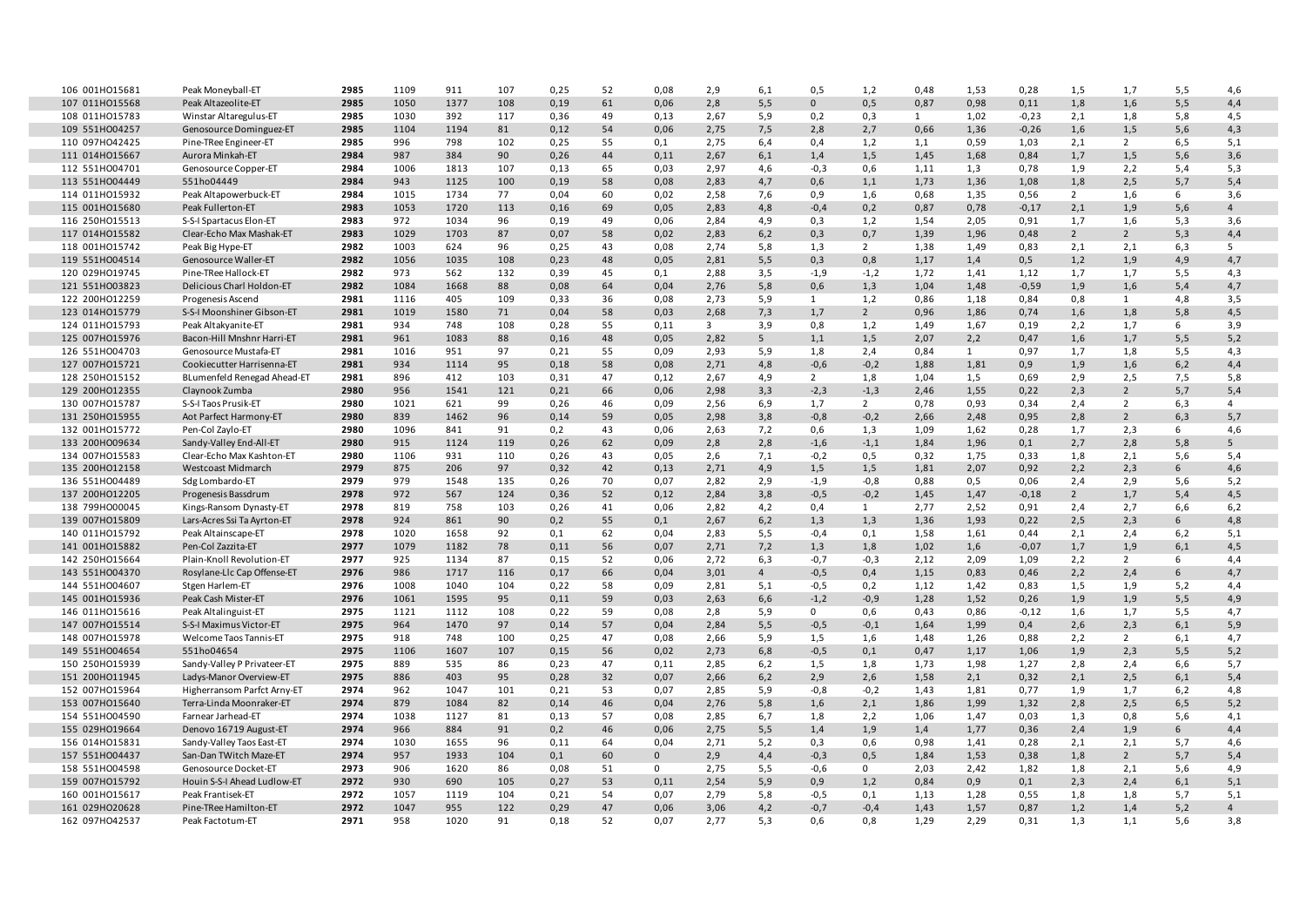| 106 001H015681                   | Peak Moneyball-ET                                      | 2985         | 1109         | 911          | 107       | 0,25        | 52       | 0,08         | 2,9                     | 6,1            | 0,5           | 1,2            | 0,48         | 1,53         | 0,28            | 1,5            | 1,7            | 5,5        | 4,6            |
|----------------------------------|--------------------------------------------------------|--------------|--------------|--------------|-----------|-------------|----------|--------------|-------------------------|----------------|---------------|----------------|--------------|--------------|-----------------|----------------|----------------|------------|----------------|
| 107 011H015568                   | Peak Altazeolite-ET                                    | 2985         | 1050         | 1377         | 108       | 0,19        | 61       | 0,06         | 2,8                     | 5,5            | $\mathbf{0}$  | 0,5            | 0,87         | 0,98         | 0,11            | 1,8            | 1,6            | 5,5        | 4,4            |
| 108 011H015783                   | Winstar Altaregulus-ET                                 | 2985         | 1030         | 392          | 117       | 0,36        | 49       | 0,13         | 2,67                    | 5,9            | 0,2           | 0,3            | $\mathbf{1}$ | 1,02         | $-0,23$         | 2,1            | 1,8            | 5,8        | 4,5            |
| 109 551H004257                   | Genosource Dominguez-ET                                | 2985         | 1104         | 1194         | 81        | 0,12        | 54       | 0,06         | 2,75                    | 7,5            | 2,8           | 2,7            | 0,66         | 1,36         | $-0,26$         | 1,6            | 1,5            | 5,6        | 4,3            |
| 110 097HO42425                   | Pine-TRee Engineer-ET                                  | 2985         | 996          | 798          | 102       | 0,25        | 55       | 0,1          | 2,75                    | 6,4            | 0,4           | 1,2            | 1,1          | 0,59         | 1,03            | 2,1            | $\overline{2}$ | 6,5        | 5,1            |
| 111 014H015667                   | Aurora Minkah-ET                                       | 2984         | 987          | 384          | 90        | 0,26        | 44       | 0,11         | 2,67                    | 6,1            | 1,4           | 1,5            | 1,45         | 1,68         | 0,84            | 1,7            | 1,5            | 5,6        | 3,6            |
| 112 551H004701                   | Genosource Copper-ET                                   | 2984         | 1006         | 1813         | 107       | 0,13        | 65       | 0,03         | 2,97                    | 4,6            | $-0,3$        | 0,6            | 1,11         | 1,3          | 0,78            | 1,9            | 2,2            | 5,4        | 5,3            |
| 113 551H004449                   | 551ho04449                                             | 2984         | 943          | 1125         | 100       | 0,19        | 58       | 0,08         | 2,83                    | 4,7            | 0,6           | 1,1            | 1,73         | 1,36         | 1,08            | 1,8            | 2,5            | 5,7        | 5,4            |
| 114 011H015932                   | Peak Altapowerbuck-ET                                  | 2984         | 1015         | 1734         | 77        | 0,04        | 60       | 0,02         | 2,58                    | 7,6            | 0,9           | 1,6            | 0,68         | 1,35         | 0,56            | $\overline{2}$ | 1,6            | 6          | 3,6            |
| 115 001HO15680                   | Peak Fullerton-ET                                      | 2983         | 1053         | 1720         | 113       | 0,16        | 69       | 0,05         | 2,83                    | 4,8            | $-0,4$        | 0,2            | 0,87         | 0,78         | $-0,17$         | 2,1            | 1,9            | 5,6        | $\overline{4}$ |
| 116 250HO15513                   | S-S-I Spartacus Elon-ET                                | 2983         | 972          | 1034         | 96        | 0,19        | 49       | 0,06         | 2,84                    | 4,9            | 0,3           | 1,2            | 1,54         | 2,05         | 0,91            | 1,7            | 1,6            | 5,3        | 3,6            |
| 117 014H015582                   | Clear-Echo Max Mashak-ET                               | 2983         | 1029         | 1703         | 87        | 0,07        | 58       | 0,02         | 2,83                    | 6,2            | 0,3           | 0,7            | 1,39         | 1,96         | 0,48            | $2^{\circ}$    | $\overline{2}$ | 5,3        | 4,4            |
| 118 001H015742                   | Peak Big Hype-ET                                       | 2982         | 1003         | 624          | 96        | 0,25        | 43       | 0,08         | 2,74                    | 5,8            | 1,3           | 2              | 1,38         | 1,49         | 0,83            | 2,1            | 2,1            | 6,3        | -5             |
| 119 551H004514                   | Genosource Waller-ET                                   | 2982         | 1056         | 1035         | 108       | 0,23        | 48       | 0,05         | 2,81                    | 5,5            | 0,3           | 0,8            | 1,17         | 1,4          | 0,5             | 1,2            | 1,9            | 4,9        | 4,7            |
| 120 029HO19745                   | Pine-TRee Hallock-ET                                   | 2982         | 973          | 562          | 132       | 0,39        | 45       | 0,1          | 2,88                    | 3,5            | $-1,9$        | $-1,2$         | 1,72         | 1,41         | 1,12            | 1,7            | 1,7            | 5, 5       | 4,3            |
| 121 551H003823                   | Delicious Charl Holdon-ET                              | 2982         | 1084         | 1668         | 88        | 0,08        | 64       | 0,04         | 2,76                    | 5,8            | 0,6           | 1,3            | 1,04         | 1,48         | $-0,59$         | 1,9            | 1,6            | 5,4        | 4,7            |
| 122 200HO12259                   | Progenesis Ascend                                      | 2981         | 1116         | 405          | 109       | 0,33        | 36       | 0,08         | 2,73                    | 5,9            | 1             | 1,2            | 0,86         | 1,18         | 0,84            | 0,8            | $\mathbf{1}$   | 4,8        | 3,5            |
| 123 014HO15779                   | S-S-I Moonshiner Gibson-ET                             | 2981         | 1019         | 1580         | 71        | 0,04        | 58       | 0,03         | 2,68                    | 7,3            | 1,7           | $\overline{2}$ | 0,96         | 1,86         | 0,74            | 1,6            | 1,8            | 5,8        | 4,5            |
| 124 011H015793                   | Peak Altakyanite-ET                                    | 2981         | 934          | 748          | 108       | 0,28        | 55       | 0,11         | $\overline{\mathbf{3}}$ | 3,9            | 0,8           | 1,2            | 1,49         | 1,67         | 0,19            | 2,2            | 1,7            | 6          | 3,9            |
| 125 007HO15976                   | Bacon-Hill Mnshnr Harri-ET                             | 2981         | 961          | 1083         | 88        | 0,16        | 48       | 0,05         | 2,82                    | 5              | 1,1           | 1,5            | 2,07         | 2,2          | 0,47            | 1,6            | 1,7            | 5,5        | 5,2            |
| 126 551H004703                   | Genosource Mustafa-ET                                  | 2981         | 1016         | 951          | 97        | 0,21        | 55       | 0,09         | 2,93                    | 5,9            | 1,8           | 2,4            | 0,84         | 1            | 0,97            | 1,7            | 1,8            | 5,5        | 4,3            |
| 127 007HO15721                   | Cookiecutter Harrisenna-ET                             | 2981         | 934          | 1114         | 95        | 0,18        | 58       | 0,08         | 2,71                    | 4,8            | $-0,6$        | $-0,2$         | 1,88         | 1,81         | 0,9             | 1,9            | 1,6            | 6,2        | 4,4            |
| 128 250HO15152                   | BLumenfeld Renegad Ahead-ET                            | 2981         | 896          | 412          | 103       | 0,31        | 47       | 0,12         | 2,67                    | 4,9            | $2^{\circ}$   | 1,8            | 1,04         | 1,5          | 0,69            | 2,9            | 2,5            | 7,5        | 5,8            |
| 129 200HO12355                   | Claynook Zumba                                         | 2980         | 956          | 1541         | 121       | 0,21        | 66       | 0,06         | 2,98                    | 3,3            | $-2,3$        | $-1,3$         | 2,46         | 1,55         | 0,22            | 2,3            | $\overline{2}$ | 5,7        | 5,4            |
| 130 007H015787                   | S-S-I Taos Prusik-ET                                   | 2980         | 1021         | 621          | 99        | 0,26        | 46       | 0,09         | 2,56                    | 6,9            | 1,7           | $2^{\circ}$    | 0,78         | 0,93         | 0,34            | 2,4            | $\overline{2}$ | 6,3        | $\overline{4}$ |
| 131 250HO15955                   | Aot Parfect Harmony-ET                                 | 2980         | 839          | 1462         | 96        | 0,14        | 59       | 0,05         | 2,98                    | 3,8            | $-0,8$        | $-0,2$         | 2,66         | 2,48         | 0,95            | 2,8            | $\overline{2}$ | 6,3        | 5,7            |
| 132 001H015772                   | Pen-Col Zaylo-ET                                       | 2980         | 1096         | 841          | 91        | 0,2         | 43       | 0,06         | 2,63                    | 7,2            | 0,6           | 1,3            | 1,09         | 1,62         | 0,28            | 1,7            | 2,3            | 6          | 4,6            |
| 133 200HO09634                   | Sandy-Valley End-All-ET                                | 2980         | 915          | 1124         | 119       | 0,26        | 62       | 0,09         | 2,8                     | 2,8            | $-1,6$        | $-1,1$         | 1,84         | 1,96         | 0,1             | 2,7            | 2,8            | 5,8        | 5              |
| 134 007HO15583                   | Clear-Echo Max Kashton-ET                              | 2980         | 1106         | 931          | 110       | 0,26        | 43       | 0,05         | 2,6                     | 7,1            | $-0,2$        | 0,5            | 0,32         | 1,75         | 0,33            | 1,8            | 2,1            | 5,6        | 5,4            |
| 135 200HO12158                   | Westcoast Midmarch                                     | 2979         | 875          | 206          | 97        | 0,32        | 42       | 0,13         | 2,71                    | 4,9            | 1,5           | 1,5            | 1,81         | 2,07         | 0,92            | 2,2            | 2,3            | 6          | 4,6            |
| 136 551H004489                   | Sdg Lombardo-ET                                        | 2979         | 979          | 1548         | 135       | 0,26        | 70       | 0,07         | 2,82                    | 2,9            | $-1,9$        | $-0,8$         | 0,88         | 0,5          | 0,06            | 2,4            | 2,9            | 5,6        | 5,2            |
| 137 200HO12205                   | Progenesis Bassdrum                                    | 2978         | 972          | 567          | 124       | 0,36        | 52       | 0,12         | 2,84                    | 3,8            | $-0,5$        | $-0,2$         | 1,45         | 1,47         | $-0,18$         | $2^{\circ}$    | 1,7            | 5,4        | 4,5            |
| 138 799H000045<br>139 007HO15809 | Kings-Ransom Dynasty-ET<br>Lars-Acres Ssi Ta Ayrton-ET | 2978<br>2978 | 819<br>924   | 758<br>861   | 103<br>90 | 0,26        | 41<br>55 | 0,06         | 2,82<br>2,67            | 4,2<br>6,2     | 0,4           | 1              | 2,77         | 2,52<br>1,93 | 0,91<br>0,22    | 2,4<br>2,5     | 2,7<br>2,3     | 6,6        | 6,2<br>4,8     |
|                                  |                                                        | 2978         |              |              |           | 0,2         |          | 0,1          |                         |                | 1,3           | 1,3            | 1,36         |              |                 |                |                | 6          |                |
| 140 011H015792<br>141 001H015882 | Peak Altainscape-ET<br>Pen-Col Zazzita-ET              | 2977         | 1020<br>1079 | 1658<br>1182 | 92<br>78  | 0,1<br>0,11 | 62<br>56 | 0,04<br>0,07 | 2,83<br>2,71            | 5,5<br>7,2     | $-0,4$<br>1,3 | 0,1<br>1,8     | 1,58<br>1,02 | 1,61<br>1,6  | 0,44<br>$-0,07$ | 2,1<br>1,7     | 2,4<br>1,9     | 6,2<br>6,1 | 5,1<br>4,5     |
| 142 250HO15664                   | Plain-Knoll Revolution-ET                              | 2977         | 925          | 1134         | 87        | 0,15        | 52       | 0,06         | 2,72                    | 6,3            | $-0,7$        | $-0,3$         | 2,12         | 2,09         | 1,09            | 2,2            | $\overline{2}$ | 6          | 4,4            |
| 143 551H004370                   | Rosylane-Llc Cap Offense-ET                            | 2976         | 986          | 1717         | 116       | 0,17        | 66       | 0,04         | 3,01                    | $\overline{4}$ | $-0,5$        | 0,4            | 1,15         | 0,83         | 0,46            | 2,2            | 2,4            | 6          | 4,7            |
| 144 551H004607                   | Stgen Harlem-ET                                        | 2976         | 1008         | 1040         | 104       | 0,22        | 58       | 0,09         | 2,81                    | 5,1            | $-0,5$        | 0,2            | 1,12         | 1,42         | 0,83            | 1,5            | 1,9            | 5,2        | 4,4            |
| 145 001HO15936                   | Peak Cash Mister-ET                                    | 2976         | 1061         | 1595         | 95        | 0,11        | 59       | 0,03         | 2,63                    | 6,6            | $-1,2$        | $-0,9$         | 1,28         | 1,52         | 0,26            | 1,9            | 1,9            | 5,5        | 4,9            |
| 146 011H015616                   | Peak Altalinguist-ET                                   | 2975         | 1121         | 1112         | 108       | 0,22        | 59       | 0,08         | 2,8                     | 5,9            | $\mathbf{0}$  | 0,6            | 0,43         | 0,86         | $-0,12$         | 1,6            | 1,7            | 5,5        | 4,7            |
| 147 007HO15514                   | S-S-I Maximus Victor-ET                                | 2975         | 964          | 1470         | 97        | 0,14        | 57       | 0,04         | 2,84                    | 5,5            | $-0,5$        | $-0,1$         | 1,64         | 1,99         | 0,4             | 2,6            | 2,3            | 6,1        | 5,9            |
| 148 007HO15978                   | Welcome Taos Tannis-ET                                 | 2975         | 918          | 748          | 100       | 0,25        | 47       | 0,08         | 2,66                    | 5,9            | 1,5           | 1,6            | 1,48         | 1,26         | 0,88            | 2,2            | $\overline{2}$ | 6,1        | 4,7            |
| 149 551H004654                   | 551ho04654                                             | 2975         | 1106         | 1607         | 107       | 0,15        | 56       | 0,02         | 2,73                    | 6,8            | $-0,5$        | 0,1            | 0,47         | 1,17         | 1,06            | 1,9            | 2,3            | 5,5        | 5,2            |
| 150 250HO15939                   | Sandy-Valley P Privateer-ET                            | 2975         | 889          | 535          | 86        | 0,23        | 47       | 0,11         | 2,85                    | 6,2            | 1,5           | 1,8            | 1,73         | 1,98         | 1,27            | 2,8            | 2,4            | 6,6        | 5,7            |
| 151 200HO11945                   | Ladys-Manor Overview-ET                                | 2975         | 886          | 403          | 95        | 0,28        | 32       | 0,07         | 2,66                    | 6,2            | 2,9           | 2,6            | 1,58         | 2,1          | 0,32            | 2,1            | 2,5            | 6,1        | 5,4            |
| 152 007HO15964                   | Higherransom Parfct Arny-ET                            | 2974         | 962          | 1047         | 101       | 0,21        | 53       | 0,07         | 2,85                    | 5,9            | $-0,8$        | $-0,2$         | 1,43         | 1,81         | 0,77            | 1,9            | 1,7            | 6,2        | 4,8            |
| 153 007HO15640                   | Terra-Linda Moonraker-ET                               | 2974         | 879          | 1084         | 82        | 0,14        | 46       | 0,04         | 2,76                    | 5,8            | 1,6           | 2,1            | 1,86         | 1,99         | 1,32            | 2,8            | 2,5            | 6, 5       | 5,2            |
| 154 551H004590                   | Farnear Jarhead-ET                                     | 2974         | 1038         | 1127         | 81        | 0,13        | 57       | 0,08         | 2,85                    | 6,7            | 1,8           | 2,2            | 1,06         | 1,47         | 0,03            | 1,3            | 0,8            | 5,6        | 4,1            |
| 155 029HO19664                   | Denovo 16719 August-ET                                 | 2974         | 966          | 884          | 91        | 0,2         | 46       | 0,06         | 2,75                    | 5,5            | 1,4           | 1,9            | 1,4          | 1,77         | 0,36            | 2,4            | 1,9            | 6          | 4,4            |
| 156 014HO15831                   | Sandy-Valley Taos East-ET                              | 2974         | 1030         | 1655         | 96        | 0,11        | 64       | 0,04         | 2,71                    | 5,2            | 0,3           | 0,6            | 0,98         | 1,41         | 0,28            | 2,1            | 2,1            | 5,7        | 4,6            |
| 157 551HO04437                   | San-Dan TWitch Maze-ET                                 | 2974         | 957          | 1933         | 104       | 0,1         | 60       | $\mathbf 0$  | 2,9                     | 4,4            | $-0,3$        | 0,5            | 1,84         | 1,53         | 0,38            | 1,8            | $\overline{2}$ | 5,7        | 5,4            |
| 158 551H004598                   | Genosource Docket-ET                                   | 2973         | 906          | 1620         | 86        | 0,08        | 51       | 0            | 2,75                    | 5,5            | $-0,6$        | $\mathbf{0}$   | 2,03         | 2,42         | 1,82            | 1,8            | 2,1            | 5,6        | 4,9            |
| 159 007HO15792                   | Houin S-S-I Ahead Ludlow-ET                            | 2972         | 930          | 690          | 105       | 0,27        | 53       | 0,11         | 2,54                    | 5,9            | 0,9           | 1,2            | 0,84         | 0,9          | 0,1             | 2,3            | 2,4            | 6,1        | 5,1            |
| 160 001H015617                   | Peak Frantisek-ET                                      | 2972         | 1057         | 1119         | 104       | 0,21        | 54       | 0,07         | 2,79                    | 5,8            | $-0,5$        | 0,1            | 1,13         | 1,28         | 0,55            | 1,8            | 1,8            | 5,7        | 5,1            |
| 161 029HO20628                   | Pine-TRee Hamilton-ET                                  | 2972         | 1047         | 955          | 122       | 0,29        | 47       | 0,06         | 3,06                    | 4,2            | $-0,7$        | $-0,4$         | 1,43         | 1,57         | 0,87            | 1,2            | 1,4            | 5,2        | 4              |
| 162 097H042537                   | Peak Factotum-ET                                       | 2971         | 958          | 1020         | 91        | 0,18        | 52       | 0,07         | 2,77                    | 5,3            | 0,6           | 0,8            | 1,29         | 2,29         | 0,31            | 1,3            | 1,1            | 5,6        | 3,8            |

ı T ľ ľ

> ı ı

л ı

ı I ı I I I

I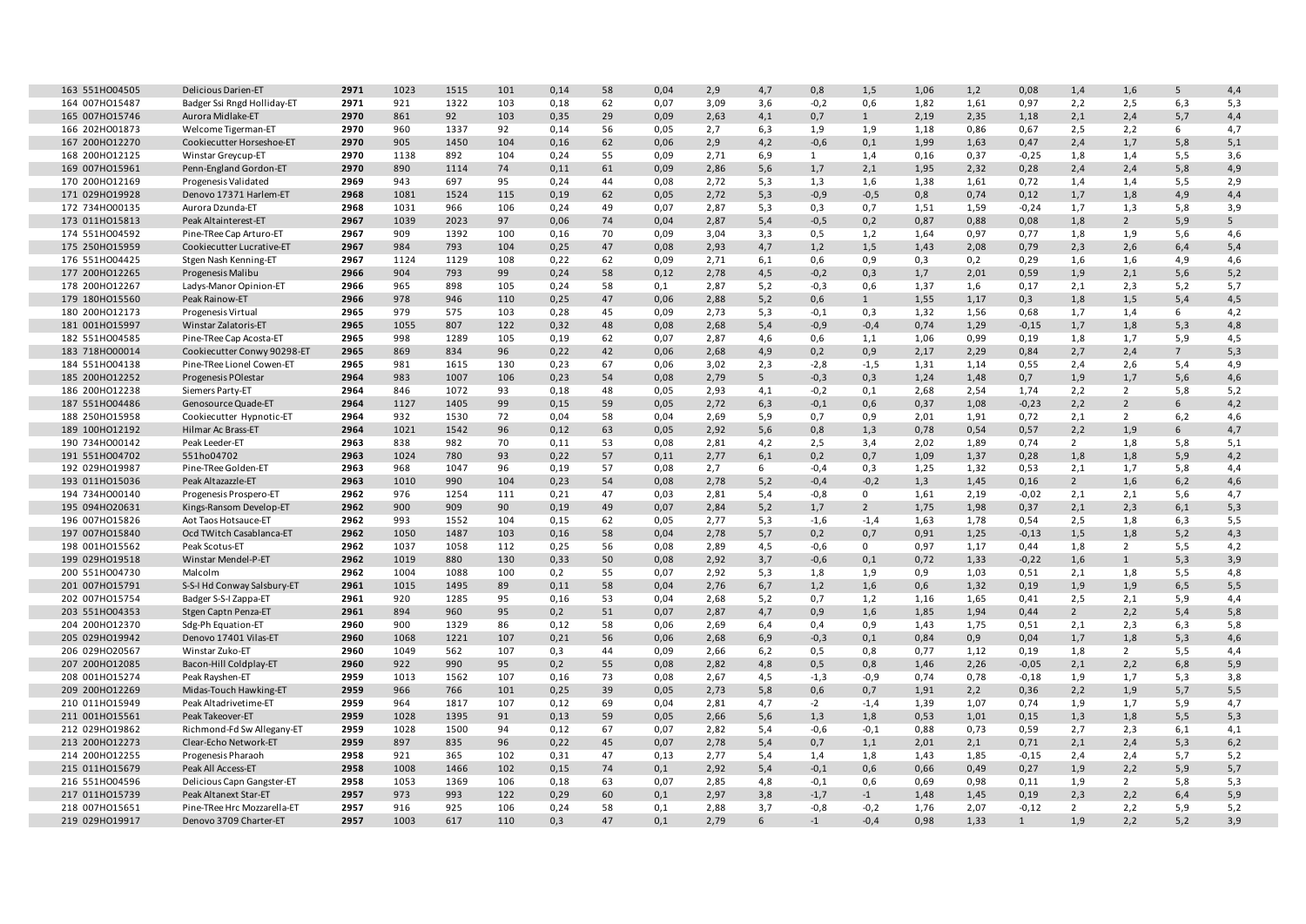| 163 551H004505 | <b>Delicious Darien-ET</b>  | 2971 | 1023 | 1515 | 101 | 0,14 | 58 | 0,04 | 2,9  | 4,7 | 0,8          | 1,5            | 1,06 | 1,2  | 0,08         | 1,4            | 1,6            | 5              | 4,4 |
|----------------|-----------------------------|------|------|------|-----|------|----|------|------|-----|--------------|----------------|------|------|--------------|----------------|----------------|----------------|-----|
| 164 007HO15487 | Badger Ssi Rngd Holliday-ET | 2971 | 921  | 1322 | 103 | 0,18 | 62 | 0,07 | 3,09 | 3,6 | $-0,2$       | 0,6            | 1,82 | 1,61 | 0,97         | 2,2            | 2,5            | 6,3            | 5,3 |
| 165 007HO15746 | Aurora Midlake-ET           | 2970 | 861  | 92   | 103 | 0,35 | 29 | 0,09 | 2,63 | 4,1 | 0,7          | $\mathbf{1}$   | 2,19 | 2,35 | 1,18         | 2,1            | 2,4            | 5,7            | 4,4 |
| 166 202HO01873 | Welcome Tigerman-ET         | 2970 | 960  | 1337 | 92  | 0,14 | 56 | 0,05 | 2,7  | 6,3 | 1,9          | 1,9            | 1,18 | 0,86 | 0,67         | 2,5            | 2,2            | 6              | 4,7 |
| 167 200HO12270 | Cookiecutter Horseshoe-ET   | 2970 | 905  | 1450 | 104 | 0,16 | 62 | 0,06 | 2,9  | 4,2 | $-0,6$       | 0,1            | 1,99 | 1,63 | 0,47         | 2,4            | 1,7            | 5,8            | 5,1 |
| 168 200HO12125 | Winstar Greycup-ET          | 2970 | 1138 | 892  | 104 | 0,24 | 55 | 0,09 | 2,71 | 6,9 | $\mathbf{1}$ | 1,4            | 0,16 | 0,37 | $-0,25$      | 1,8            | 1,4            | 5,5            | 3,6 |
| 169 007HO15961 | Penn-England Gordon-ET      | 2970 | 890  | 1114 | 74  | 0,11 | 61 | 0,09 | 2,86 | 5,6 | 1,7          | 2,1            | 1,95 | 2,32 | 0,28         | 2,4            | 2,4            | 5,8            | 4,9 |
| 170 200HO12169 | Progenesis Validated        | 2969 | 943  | 697  | 95  | 0,24 | 44 | 0,08 | 2,72 | 5,3 | 1,3          | 1,6            | 1,38 | 1,61 | 0,72         | 1,4            | 1,4            | 5,5            | 2,9 |
| 171 029HO19928 | Denovo 17371 Harlem-ET      | 2968 | 1081 | 1524 | 115 | 0,19 | 62 | 0,05 | 2,72 | 5,3 | $-0,9$       | $-0,5$         | 0,8  | 0,74 | 0,12         | 1,7            | 1,8            | 4,9            | 4,4 |
| 172 734H000135 | Aurora Dzunda-ET            | 2968 | 1031 | 966  | 106 | 0,24 | 49 | 0,07 | 2,87 | 5,3 | 0,3          | 0,7            | 1,51 | 1,59 | $-0,24$      | 1,7            | 1,3            | 5,8            | 3,9 |
| 173 011H015813 | Peak Altainterest-ET        | 2967 | 1039 | 2023 | 97  | 0,06 | 74 | 0,04 | 2,87 | 5,4 | $-0,5$       | 0,2            | 0,87 | 0,88 | 0,08         | 1,8            | $\overline{2}$ | 5,9            | 5   |
| 174 551H004592 | Pine-TRee Cap Arturo-ET     | 2967 | 909  | 1392 | 100 | 0,16 | 70 | 0,09 | 3,04 | 3,3 | 0,5          | 1,2            | 1,64 | 0,97 | 0,77         | 1,8            | 1,9            | 5,6            | 4,6 |
| 175 250HO15959 | Cookiecutter Lucrative-ET   | 2967 | 984  | 793  | 104 | 0,25 | 47 | 0,08 | 2,93 | 4,7 | 1,2          | 1,5            | 1,43 | 2,08 | 0,79         | 2,3            | 2,6            | 6,4            | 5,4 |
| 176 551H004425 | Stgen Nash Kenning-ET       | 2967 | 1124 | 1129 | 108 | 0,22 | 62 | 0,09 | 2,71 | 6,1 | 0,6          | 0,9            | 0.3  | 0,2  | 0,29         | 1,6            | 1,6            | 4,9            | 4,6 |
| 177 200HO12265 | Progenesis Malibu           | 2966 | 904  | 793  | 99  | 0,24 | 58 | 0,12 | 2,78 | 4,5 | $-0,2$       | 0,3            | 1,7  | 2,01 | 0,59         | 1,9            | 2,1            | 5,6            | 5,2 |
| 178 200HO12267 | Ladys-Manor Opinion-ET      | 2966 | 965  | 898  | 105 | 0,24 | 58 | 0,1  | 2,87 | 5,2 | $-0,3$       | 0,6            | 1,37 | 1,6  | 0,17         | 2,1            | 2,3            | 5,2            | 5,7 |
| 179 180HO15560 | Peak Rainow-ET              | 2966 | 978  | 946  | 110 | 0,25 | 47 | 0,06 | 2,88 | 5,2 | 0,6          | $\mathbf{1}$   | 1,55 | 1,17 | 0,3          | 1,8            | 1,5            | 5,4            | 4,5 |
| 180 200HO12173 | Progenesis Virtual          | 2965 | 979  | 575  | 103 | 0,28 | 45 | 0,09 | 2,73 | 5,3 | $-0.1$       | 0,3            | 1,32 | 1,56 | 0,68         | 1,7            | 1,4            | 6              | 4,2 |
| 181 001H015997 | Winstar Zalatoris-ET        | 2965 | 1055 | 807  | 122 | 0,32 | 48 | 0,08 | 2,68 | 5,4 | $-0,9$       | $-0,4$         | 0,74 | 1,29 | $-0,15$      | 1,7            | 1,8            | 5,3            | 4,8 |
| 182 551H004585 | Pine-TRee Cap Acosta-ET     | 2965 | 998  | 1289 | 105 | 0,19 | 62 | 0,07 | 2,87 | 4,6 | 0,6          | 1,1            | 1,06 | 0,99 | 0,19         | 1,8            | 1,7            | 5,9            | 4,5 |
| 183 718H000014 | Cookiecutter Conwy 90298-ET | 2965 | 869  | 834  | 96  | 0,22 | 42 | 0,06 | 2,68 | 4,9 | 0,2          | 0,9            | 2,17 | 2,29 | 0,84         | 2,7            | 2,4            | $\overline{7}$ | 5,3 |
| 184 551H004138 | Pine-TRee Lionel Cowen-ET   | 2965 | 981  | 1615 | 130 | 0,23 | 67 | 0,06 | 3,02 | 2,3 | $-2,8$       | $-1,5$         | 1,31 | 1,14 | 0,55         | 2,4            | 2,6            | 5,4            | 4,9 |
| 185 200HO12252 | Progenesis POI estar        | 2964 | 983  | 1007 | 106 | 0,23 | 54 | 0,08 | 2,79 | 5   | $-0,3$       | 0,3            | 1,24 | 1,48 | 0,7          | 1,9            | 1,7            | 5,6            | 4,6 |
| 186 200HO12238 | Siemers Party-ET            | 2964 | 846  | 1072 | 93  | 0,18 | 48 | 0,05 | 2,93 | 4,1 | $-0,2$       | 0,1            | 2,68 | 2,54 | 1,74         | 2,2            | $\overline{2}$ | 5,8            | 5,2 |
| 187 551H004486 | Genosource Quade-ET         | 2964 | 1127 | 1405 | 99  | 0,15 | 59 | 0,05 | 2,72 | 6,3 | $-0,1$       | 0,6            | 0,37 | 1,08 | $-0,23$      | 2,2            | $\overline{2}$ | 6              | 4,2 |
| 188 250HO15958 | Cookiecutter Hypnotic-ET    | 2964 | 932  | 1530 | 72  | 0,04 | 58 | 0,04 | 2,69 | 5,9 | 0,7          | 0,9            | 2,01 | 1,91 | 0,72         | 2,1            | $\overline{2}$ | 6,2            | 4,6 |
| 189 100HO12192 | Hilmar Ac Brass-ET          | 2964 | 1021 | 1542 | 96  | 0,12 | 63 | 0,05 | 2,92 | 5,6 | 0,8          | 1,3            | 0,78 | 0,54 | 0,57         | 2,2            | 1,9            | 6              | 4,7 |
| 190 734HO00142 | Peak Leeder-ET              | 2963 | 838  | 982  | 70  | 0,11 | 53 | 0,08 | 2,81 | 4,2 | 2,5          | 3,4            | 2,02 | 1,89 | 0,74         | $\overline{2}$ | 1,8            | 5,8            | 5,1 |
| 191 551H004702 | 551ho04702                  | 2963 | 1024 | 780  | 93  | 0,22 | 57 | 0,11 | 2,77 | 6,1 | 0,2          | 0,7            | 1,09 | 1,37 | 0,28         | 1,8            | 1,8            | 5,9            | 4,2 |
| 192 029HO19987 | Pine-TRee Golden-ET         | 2963 | 968  | 1047 | 96  | 0,19 | 57 | 0,08 | 2,7  | 6   | $-0,4$       | 0,3            | 1,25 | 1,32 | 0,53         | 2,1            | 1,7            | 5,8            | 4,4 |
| 193 011H015036 | Peak Altazazzle-ET          | 2963 | 1010 | 990  | 104 | 0,23 | 54 | 0,08 | 2,78 | 5,2 | $-0,4$       | $-0,2$         | 1,3  | 1,45 | 0,16         | $\overline{2}$ | 1,6            | 6,2            | 4,6 |
| 194 734H000140 | Progenesis Prospero-ET      | 2962 | 976  | 1254 | 111 | 0,21 | 47 | 0,03 | 2,81 | 5,4 | $-0,8$       | $\mathbf{0}$   | 1,61 | 2,19 | $-0,02$      | 2,1            | 2,1            | 5,6            | 4,7 |
| 195 094HO20631 | Kings-Ransom Develop-ET     | 2962 | 900  | 909  | 90  | 0,19 | 49 | 0,07 | 2,84 | 5,2 | 1,7          | $\overline{2}$ | 1,75 | 1,98 | 0,37         | 2,1            | 2,3            | 6,1            | 5,3 |
| 196 007H015826 | Aot Taos Hotsauce-ET        | 2962 | 993  | 1552 | 104 | 0,15 | 62 | 0,05 | 2,77 | 5,3 | $-1,6$       | $-1,4$         | 1,63 | 1,78 | 0,54         | 2,5            | 1,8            | 6,3            | 5,5 |
| 197 007HO15840 | Ocd TWitch Casablanca-ET    | 2962 | 1050 | 1487 | 103 | 0,16 | 58 | 0,04 | 2,78 | 5,7 | 0,2          | 0,7            | 0,91 | 1,25 | $-0,13$      | 1,5            | 1,8            | 5,2            | 4,3 |
| 198 001H015562 | Peak Scotus-ET              | 2962 | 1037 | 1058 | 112 | 0,25 | 56 | 0,08 | 2,89 | 4,5 | $-0,6$       | $\mathbf{0}$   | 0,97 | 1,17 | 0,44         | 1,8            | $\overline{2}$ | 5,5            | 4,2 |
| 199 029HO19518 | Winstar Mendel-P-ET         | 2962 | 1019 | 880  | 130 | 0,33 | 50 | 0,08 | 2,92 | 3,7 | $-0,6$       | 0,1            | 0,72 | 1,33 | $-0,22$      | 1,6            | $\mathbf{1}$   | 5,3            | 3,9 |
| 200 551H004730 | Malcolm                     | 2962 | 1004 | 1088 | 100 | 0,2  | 55 | 0,07 | 2,92 | 5,3 | 1,8          | 1,9            | 0,9  | 1,03 | 0,51         | 2,1            | 1,8            | 5,5            | 4,8 |
| 201 007H015791 | S-S-I Hd Conway Salsbury-ET | 2961 | 1015 | 1495 | 89  | 0,11 | 58 | 0,04 | 2,76 | 6,7 | 1,2          | 1,6            | 0,6  | 1,32 | 0,19         | 1,9            | 1,9            | 6, 5           | 5,5 |
| 202 007HO15754 | Badger S-S-I Zappa-ET       | 2961 | 920  | 1285 | 95  | 0,16 | 53 | 0,04 | 2,68 | 5,2 | 0,7          | 1,2            | 1,16 | 1,65 | 0,41         | 2,5            | 2,1            | 5,9            | 4.4 |
| 203 551HO04353 | Stgen Captn Penza-ET        | 2961 | 894  | 960  | 95  | 0,2  | 51 | 0,07 | 2,87 | 4,7 | 0,9          | 1,6            | 1,85 | 1,94 | 0,44         | $\overline{2}$ | 2,2            | 5,4            | 5,8 |
| 204 200HO12370 | Sdg-Ph Equation-ET          | 2960 | 900  | 1329 | 86  | 0,12 | 58 | 0,06 | 2,69 | 6,4 | 0,4          | 0,9            | 1,43 | 1,75 | 0,51         | 2,1            | 2,3            | 6,3            | 5,8 |
| 205 029HO19942 | Denovo 17401 Vilas-ET       | 2960 | 1068 | 1221 | 107 | 0,21 | 56 | 0,06 | 2,68 | 6,9 | $-0,3$       | 0,1            | 0,84 | 0,9  | 0,04         | 1,7            | 1,8            | 5,3            | 4,6 |
| 206 029HO20567 | Winstar Zuko-ET             | 2960 | 1049 | 562  | 107 | 0,3  | 44 | 0,09 | 2,66 | 6,2 | 0,5          | 0,8            | 0,77 | 1,12 | 0,19         | 1,8            | $\overline{2}$ | 5,5            | 4,4 |
| 207 200HO12085 | Bacon-Hill Coldplay-ET      | 2960 | 922  | 990  | 95  | 0,2  | 55 | 0,08 | 2,82 | 4,8 | 0,5          | 0,8            | 1,46 | 2,26 | $-0,05$      | 2,1            | 2,2            | 6,8            | 5,9 |
| 208 001H015274 | Peak Rayshen-ET             | 2959 | 1013 | 1562 | 107 | 0,16 | 73 | 0,08 | 2,67 | 4,5 | $-1,3$       | $-0,9$         | 0,74 | 0,78 | $-0,18$      | 1,9            | 1,7            | 5,3            | 3,8 |
| 209 200HO12269 | Midas-Touch Hawking-ET      | 2959 | 966  | 766  | 101 | 0,25 | 39 | 0,05 | 2,73 | 5,8 | 0,6          | 0,7            | 1,91 | 2,2  | 0,36         | 2,2            | 1,9            | 5,7            | 5,5 |
| 210 011H015949 | Peak Altadrivetime-ET       | 2959 | 964  | 1817 | 107 | 0,12 | 69 | 0,04 | 2,81 | 4,7 | $-2$         | $-1,4$         | 1,39 | 1,07 | 0,74         | 1,9            | 1,7            | 5,9            | 4,7 |
| 211 001H015561 | Peak Takeover-ET            | 2959 | 1028 | 1395 | 91  | 0,13 | 59 | 0,05 | 2,66 | 5,6 | 1,3          | 1,8            | 0,53 | 1,01 | 0,15         | 1,3            | 1,8            | 5,5            | 5,3 |
| 212 029HO19862 | Richmond-Fd Sw Allegany-ET  | 2959 | 1028 | 1500 | 94  | 0,12 | 67 | 0,07 | 2,82 | 5,4 | $-0,6$       | $-0,1$         | 0,88 | 0,73 | 0,59         | 2,7            | 2,3            | 6,1            | 4,1 |
| 213 200HO12273 | Clear-Echo Network-ET       | 2959 | 897  | 835  | 96  | 0,22 | 45 | 0,07 | 2,78 | 5,4 | 0,7          | 1,1            | 2,01 | 2,1  | 0,71         | 2,1            | 2,4            | 5,3            | 6,2 |
| 214 200HO12255 | Progenesis Pharaoh          | 2958 | 921  | 365  | 102 | 0,31 | 47 | 0,13 | 2,77 | 5,4 | 1,4          | 1,8            | 1,43 | 1,85 | $-0,15$      | 2,4            | 2,4            | 5,7            | 5,2 |
| 215 011H015679 | Peak All Access-ET          | 2958 | 1008 | 1466 | 102 | 0,15 | 74 | 0,1  | 2,92 | 5,4 | $-0,1$       | 0,6            | 0,66 | 0,49 | 0,27         | 1,9            | 2,2            | 5,9            | 5,7 |
| 216 551H004596 | Delicious Capn Gangster-ET  | 2958 | 1053 | 1369 | 106 | 0,18 | 63 | 0,07 | 2,85 | 4,8 | $-0,1$       | 0,6            | 0,69 | 0,98 | 0,11         | 1,9            | $\overline{2}$ | 5,8            | 5,3 |
| 217 011H015739 | Peak Altanext Star-ET       | 2957 | 973  | 993  | 122 | 0,29 | 60 | 0,1  | 2,97 | 3,8 | $-1,7$       | $-1$           | 1,48 | 1,45 | 0,19         | 2,3            | 2,2            | 6,4            | 5,9 |
| 218 007H015651 | Pine-TRee Hrc Mozzarella-ET | 2957 | 916  | 925  | 106 | 0,24 | 58 | 0,1  | 2,88 | 3,7 | $-0,8$       | $-0,2$         | 1,76 | 2,07 | $-0,12$      | $\overline{2}$ | 2,2            | 5,9            | 5,2 |
| 219 029HO19917 | Denovo 3709 Charter-ET      | 2957 | 1003 | 617  | 110 | 0,3  | 47 | 0,1  | 2,79 | 6   | $-1$         | $-0,4$         | 0,98 | 1,33 | $\mathbf{1}$ | 1,9            | 2,2            | 5,2            | 3,9 |
|                |                             |      |      |      |     |      |    |      |      |     |              |                |      |      |              |                |                |                |     |